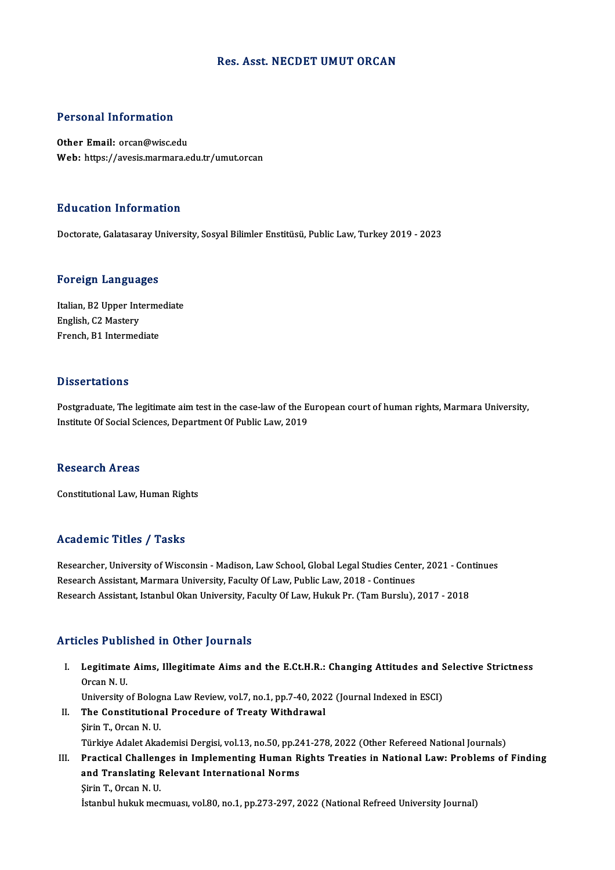# Res. Asst. NECDET UMUT ORCAN

# Personal Information

Other Email: orcan@wisc.edu Web: https://avesis.marmara.edu.tr/umut.orcan

# Education Information

Doctorate,GalatasarayUniversity,SosyalBilimler Enstitüsü,PublicLaw,Turkey2019 -2023

### Foreign Languages

Foreign Languages<br>Italian, B2 Upper Intermediate<br>English C2 Mestery English, C2 Upper Int<br>English, C2 Mastery<br>English, C2 Mastery Italian, B2 Upper Interme<br>English, C2 Mastery<br>French, B1 Intermediate French, B1 Intermediate<br>Dissertations

Postgraduate, The legitimate aim test in the case-law of the European court of human rights, Marmara University, Institute Of Social Sciences, Department Of Public Law, 2019

### Research Areas

Constitutional Law, Human Rights

# Academic Titles / Tasks

Researcher, University of Wisconsin - Madison, Law School, Global Legal Studies Center, 2021 - Continues Research Assistant, Marmara University, Faculty Of Law, Public Law, 2018 - Continues Research Assistant, Istanbul Okan University, Faculty Of Law, Hukuk Pr. (Tam Burslu), 2017 - 2018

# Articles Published in Other Journals

rticles Published in Other Journals<br>I. Legitimate Aims, Illegitimate Aims and the E.Ct.H.R.: Changing Attitudes and Selective Strictness<br>Organ N. U Legitimate<br>Degitimate<br>Orcan N.U. Legitimate Aims, Illegitimate Aims and the E.Ct.H.R.: Changing Attitudes and S<br>Orcan N. U.<br>University of Bologna Law Review, vol.7, no.1, pp.7-40, 2022 (Journal Indexed in ESCI)<br>The Constitutional Prosedure of Treaty Withd

- Orcan N.U.<br>University of Bologna Law Review, vol.7, no.1, pp.7-40, 202<br>II. The Constitutional Procedure of Treaty Withdrawal<br>Sinin T. Orsen N.U. University of Bolog<br>The Constitution<br>Sirin T., Orcan N. U.<br>Türkiye Adelet Aka II. The Constitutional Procedure of Treaty Withdrawal<br>Şirin T., Orcan N. U.<br>Türkiye Adalet Akademisi Dergisi, vol.13, no.50, pp.241-278, 2022 (Other Refereed National Journals) III. Practical Challenges in Implementing Human Rights Treaties in National Law: Problems of Finding Türkiye Adalet Akademisi Dergisi, vol.13, no.50, pp.24<br>Practical Challenges in Implementing Human R<br>and Translating Relevant International Norms<br>Sirin T. Organ N. H
- Practical Challen<br>and Translating F<br>Şirin T., Orcan N. U.<br>İstanbul buluk maq Şirin T., Orcan N. U.<br>İstanbul hukuk mecmuası, vol.80, no.1, pp.273-297, 2022 (National Refreed University Journal)